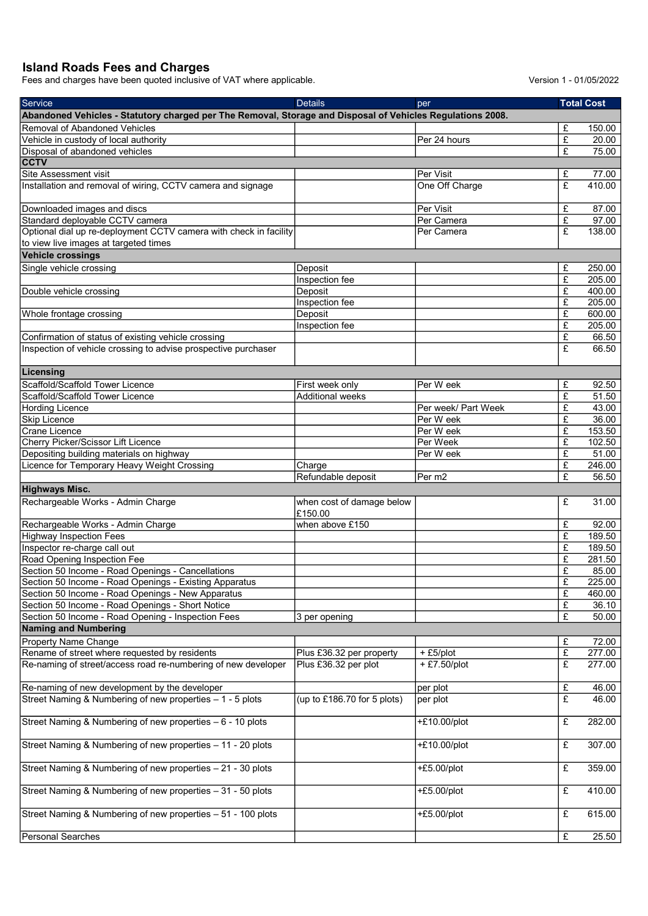## Island Roads Fees and Charges

Fees and charges have been quoted inclusive of VAT where applicable. Version 1 - 01/05/2022

| Service                                                                                                    | <b>Details</b>              | per                     |                         | <b>Total Cost</b>  |
|------------------------------------------------------------------------------------------------------------|-----------------------------|-------------------------|-------------------------|--------------------|
| Abandoned Vehicles - Statutory charged per The Removal, Storage and Disposal of Vehicles Regulations 2008. |                             |                         |                         |                    |
| Removal of Abandoned Vehicles                                                                              |                             |                         | £                       | 150.00             |
| Vehicle in custody of local authority                                                                      |                             | Per 24 hours            | £                       | 20.00              |
| Disposal of abandoned vehicles                                                                             |                             |                         | £                       | 75.00              |
| <b>CCTV</b>                                                                                                |                             |                         |                         |                    |
| <b>Site Assessment visit</b>                                                                               |                             | Per Visit               | £                       | 77.00              |
| Installation and removal of wiring, CCTV camera and signage                                                |                             | One Off Charge          | £                       | 410.00             |
|                                                                                                            |                             |                         |                         |                    |
| Downloaded images and discs                                                                                |                             | Per Visit               | £                       | 87.00              |
| Standard deployable CCTV camera                                                                            |                             | Per Camera              | $\overline{f}$          | 97.00              |
| Optional dial up re-deployment CCTV camera with check in facility                                          |                             | Per Camera              | $\overline{\mathbf{f}}$ | 138.00             |
| to view live images at targeted times                                                                      |                             |                         |                         |                    |
| <b>Vehicle crossings</b>                                                                                   |                             |                         |                         |                    |
|                                                                                                            |                             |                         |                         |                    |
| Single vehicle crossing                                                                                    | Deposit                     |                         | £                       | 250.00             |
|                                                                                                            | Inspection fee              |                         | £                       | 205.00             |
| Double vehicle crossing                                                                                    | Deposit                     |                         | £                       | 400.00             |
|                                                                                                            | Inspection fee              |                         | £                       | 205.00             |
| Whole frontage crossing                                                                                    | Deposit                     |                         | £                       | 600.00             |
|                                                                                                            | Inspection fee              |                         | $\overline{f}$          | 205.00             |
| Confirmation of status of existing vehicle crossing                                                        |                             |                         | £                       | 66.50              |
| Inspection of vehicle crossing to advise prospective purchaser                                             |                             |                         | £                       | 66.50              |
|                                                                                                            |                             |                         |                         |                    |
| Licensing                                                                                                  |                             |                         |                         |                    |
| Scaffold/Scaffold Tower Licence                                                                            | First week only             | Per W eek               | £                       | 92.50              |
| Scaffold/Scaffold Tower Licence                                                                            | <b>Additional weeks</b>     |                         | $\overline{f}$          | 51.50              |
| <b>Hording Licence</b>                                                                                     |                             | Per week/ Part Week     | £                       | 43.00              |
| <b>Skip Licence</b>                                                                                        |                             | Per W eek               | £                       | 36.00              |
| Crane Licence                                                                                              |                             | Per W eek               | £                       | 153.50             |
| Cherry Picker/Scissor Lift Licence                                                                         |                             | Per Week                | £                       | 102.50             |
| Depositing building materials on highway                                                                   |                             | Per W eek               | $\overline{f}$          | 51.00              |
| Licence for Temporary Heavy Weight Crossing                                                                | Charge                      |                         | £                       | 246.00             |
|                                                                                                            | Refundable deposit          | $\sqrt{\text{Per } m2}$ | £                       | 56.50              |
| <b>Highways Misc.</b>                                                                                      |                             |                         |                         |                    |
| Rechargeable Works - Admin Charge                                                                          | when cost of damage below   |                         | £                       | 31.00              |
|                                                                                                            | £150.00                     |                         |                         |                    |
| Rechargeable Works - Admin Charge                                                                          | when above £150             |                         | £                       | 92.00              |
| <b>Highway Inspection Fees</b>                                                                             |                             |                         | £                       | 189.50             |
| Inspector re-charge call out                                                                               |                             |                         |                         |                    |
|                                                                                                            |                             |                         | £<br>£                  | 189.50             |
| Road Opening Inspection Fee                                                                                |                             |                         |                         | 281.50             |
| Section 50 Income - Road Openings - Cancellations                                                          |                             |                         | £                       | 85.00              |
| Section 50 Income - Road Openings - Existing Apparatus                                                     |                             |                         | £                       | 225.00             |
| Section 50 Income - Road Openings - New Apparatus                                                          |                             |                         | £                       | 460.00             |
| Section 50 Income - Road Openings - Short Notice                                                           |                             |                         | £                       | 36.10              |
| Section 50 Income - Road Opening - Inspection Fees                                                         | 3 per opening               |                         | £                       | 50.00              |
| <b>Naming and Numbering</b>                                                                                |                             |                         |                         |                    |
| Property Name Change                                                                                       |                             |                         | £                       | 72.00              |
| Rename of street where requested by residents                                                              | Plus £36.32 per property    | $+E5$ /plot             | £                       | 277.00             |
| Re-naming of street/access road re-numbering of new developer                                              | Plus £36.32 per plot        | + £7.50/plot            | $\overline{f}$          | 277.00             |
|                                                                                                            |                             |                         |                         |                    |
| Re-naming of new development by the developer                                                              |                             | per plot                | $\overline{f}$          | 46.00              |
| Street Naming & Numbering of new properties - 1 - 5 plots                                                  | (up to £186.70 for 5 plots) | per plot                | $\overline{f}$          | 46.00              |
|                                                                                                            |                             |                         |                         |                    |
| Street Naming & Numbering of new properties - 6 - 10 plots                                                 |                             | +£10.00/plot            | $\pounds$               | 282.00             |
|                                                                                                            |                             |                         |                         |                    |
| Street Naming & Numbering of new properties - 11 - 20 plots                                                |                             | $+£10.00$ /plot         | £                       | 307.00             |
|                                                                                                            |                             |                         |                         |                    |
| Street Naming & Numbering of new properties - 21 - 30 plots                                                |                             | $+£5.00$ /plot          | £                       | 359.00             |
|                                                                                                            |                             |                         |                         |                    |
| Street Naming & Numbering of new properties - 31 - 50 plots                                                |                             | $+£5.00$ /plot          | £                       | 410.00             |
|                                                                                                            |                             |                         |                         |                    |
| Street Naming & Numbering of new properties - 51 - 100 plots                                               |                             | $+£5.00$ /plot          | £                       | 615.00             |
|                                                                                                            |                             |                         |                         |                    |
| Personal Searches                                                                                          |                             |                         | £                       | $\overline{2}5.50$ |
|                                                                                                            |                             |                         |                         |                    |